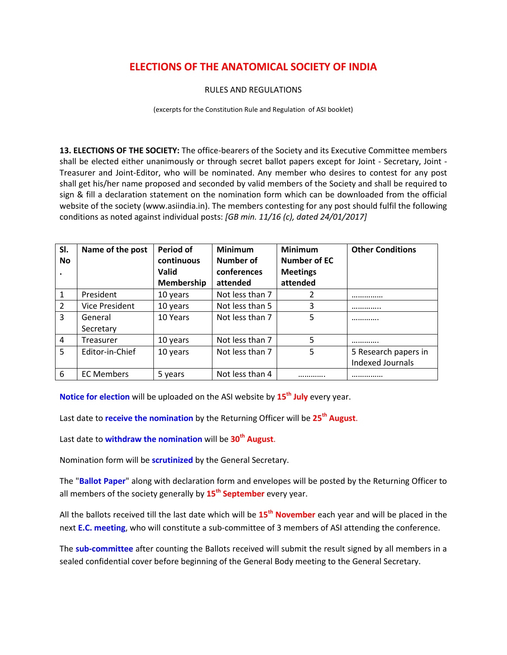## **ELECTIONS OF THE ANATOMICAL SOCIETY OF INDIA**

## RULES AND REGULATIONS

(excerpts for the Constitution Rule and Regulation of ASI booklet)

**13. ELECTIONS OF THE SOCIETY:** The office-bearers of the Society and its Executive Committee members shall be elected either unanimously or through secret ballot papers except for Joint - Secretary, Joint - Treasurer and Joint-Editor, who will be nominated. Any member who desires to contest for any post shall get his/her name proposed and seconded by valid members of the Society and shall be required to sign & fill a declaration statement on the nomination form which can be downloaded from the official website of the society (www.asiindia.in). The members contesting for any post should fulfil the following conditions as noted against individual posts: *[GB min. 11/16 (c), dated 24/01/2017]*

| SI.<br><b>No</b><br>$\bullet$ | Name of the post      | Period of<br>continuous<br><b>Valid</b> | <b>Minimum</b><br>Number of<br>conferences | <b>Minimum</b><br><b>Number of EC</b><br><b>Meetings</b> | <b>Other Conditions</b> |
|-------------------------------|-----------------------|-----------------------------------------|--------------------------------------------|----------------------------------------------------------|-------------------------|
|                               |                       | <b>Membership</b>                       | attended                                   | attended                                                 |                         |
| $\mathbf{1}$                  | President             | 10 years                                | Not less than 7                            | 2                                                        |                         |
| $\overline{2}$                | <b>Vice President</b> | 10 years                                | Not less than 5                            | 3                                                        |                         |
| 3                             | General               | 10 Years                                | Not less than 7                            | 5                                                        |                         |
|                               | Secretary             |                                         |                                            |                                                          |                         |
| $\overline{4}$                | Treasurer             | 10 years                                | Not less than 7                            | 5                                                        |                         |
| 5                             | Editor-in-Chief       | 10 years                                | Not less than 7                            | 5                                                        | 5 Research papers in    |
|                               |                       |                                         |                                            |                                                          | Indexed Journals        |
| 6                             | <b>EC Members</b>     | 5 years                                 | Not less than 4                            | .                                                        |                         |

**Notice for election** will be uploaded on the ASI website by **15th July** every year.

Last date to **receive the nomination** by the Returning Officer will be **25th August**.

Last date to **withdraw the nomination** will be **30th August**.

Nomination form will be **scrutinized** by the General Secretary.

The "**Ballot Paper**" along with declaration form and envelopes will be posted by the Returning Officer to all members of the society generally by **15th September** every year.

All the ballots received till the last date which will be **15th November** each year and will be placed in the next **E.C. meeting**, who will constitute a sub-committee of 3 members of ASI attending the conference.

The **sub-committee** after counting the Ballots received will submit the result signed by all members in a sealed confidential cover before beginning of the General Body meeting to the General Secretary.